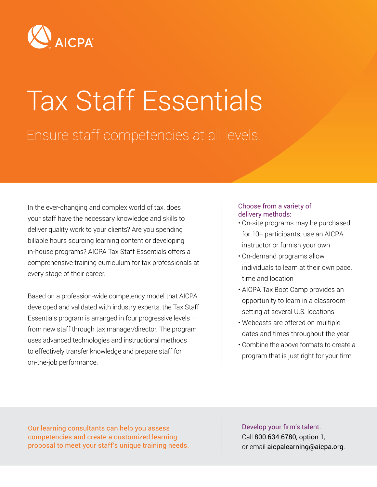

# Tax Staff Essentials Ensure staff competencies at all levels.

In the ever-changing and complex world of tax, does your staff have the necessary knowledge and skills to deliver quality work to your clients? Are you spending billable hours sourcing learning content or developing in-house programs? AICPA Tax Staff Essentials offers a comprehensive training curriculum for tax professionals at every stage of their career.

Based on a profession-wide competency model that AICPA developed and validated with industry experts, the Tax Staff Essentials program is arranged in four progressive levels from new staff through tax manager/director. The program uses advanced technologies and instructional methods to effectively transfer knowledge and prepare staff for on-the-job performance.

#### Choose from a variety of delivery methods:

- On-site programs may be purchased for 10+ participants; use an AICPA instructor or furnish your own
- On-demand programs allow individuals to learn at their own pace, time and location
- AICPA Tax Boot Camp provides an opportunity to learn in a classroom setting at several U.S. locations
- Webcasts are offered on multiple dates and times throughout the year
- Combine the above formats to create a program that is just right for your firm

Our learning consultants can help you assess competencies and create a customized learning proposal to meet your staff's unique training needs.

Develop your firm's talent. Call 800.634.6780, option 1, or email aicpalearning@aicpa.org.